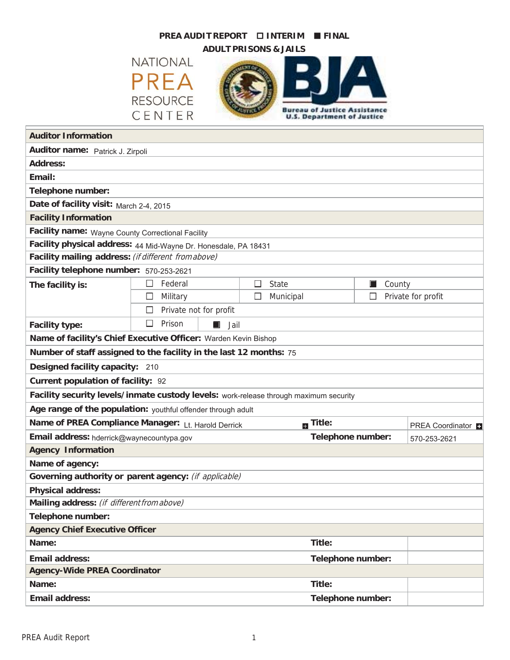## **PREA AUDIT REPORT INTERIM FINAL** ■

**ADULT PRISONS & JAILS**

**NATIONAL PREA RESOURCE** CENTER



| <b>Auditor Information</b>                                                            |                             |          |                          |                                   |        |                    |  |  |
|---------------------------------------------------------------------------------------|-----------------------------|----------|--------------------------|-----------------------------------|--------|--------------------|--|--|
| Auditor name: Patrick J. Zirpoli                                                      |                             |          |                          |                                   |        |                    |  |  |
| <b>Address:</b>                                                                       |                             |          |                          |                                   |        |                    |  |  |
| Email:                                                                                |                             |          |                          |                                   |        |                    |  |  |
| Telephone number:                                                                     |                             |          |                          |                                   |        |                    |  |  |
| Date of facility visit: March 2-4, 2015                                               |                             |          |                          |                                   |        |                    |  |  |
| <b>Facility Information</b>                                                           |                             |          |                          |                                   |        |                    |  |  |
| Facility name: Wayne County Correctional Facility                                     |                             |          |                          |                                   |        |                    |  |  |
| Facility physical address: 44 Mid-Wayne Dr. Honesdale, PA 18431                       |                             |          |                          |                                   |        |                    |  |  |
| Facility mailing address: (if different from above)                                   |                             |          |                          |                                   |        |                    |  |  |
| Facility telephone number: 570-253-2621                                               |                             |          |                          |                                   |        |                    |  |  |
| The facility is:                                                                      | Federal<br>$\Box$           | □        | <b>State</b>             | $\Box$                            | County |                    |  |  |
|                                                                                       | Military<br>□               |          | Municipal                | □                                 |        | Private for profit |  |  |
|                                                                                       | Private not for profit<br>□ |          |                          |                                   |        |                    |  |  |
| <b>Facility type:</b>                                                                 | □<br>Prison<br>$\Box$       | Jail     |                          |                                   |        |                    |  |  |
| Name of facility's Chief Executive Officer: Warden Kevin Bishop                       |                             |          |                          |                                   |        |                    |  |  |
| Number of staff assigned to the facility in the last 12 months: 75                    |                             |          |                          |                                   |        |                    |  |  |
| Designed facility capacity: 210                                                       |                             |          |                          |                                   |        |                    |  |  |
| <b>Current population of facility: 92</b>                                             |                             |          |                          |                                   |        |                    |  |  |
| Facility security levels/inmate custody levels: work-release through maximum security |                             |          |                          |                                   |        |                    |  |  |
| Age range of the population: youthful offender through adult                          |                             |          |                          |                                   |        |                    |  |  |
| Name of PREA Compliance Manager: Lt. Harold Derrick                                   |                             | m Title: |                          | PREA Coordinator                  |        |                    |  |  |
| Email address: hderrick@waynecountypa.gov                                             |                             |          |                          | Telephone number:<br>570-253-2621 |        |                    |  |  |
| <b>Agency Information</b>                                                             |                             |          |                          |                                   |        |                    |  |  |
| Name of agency:                                                                       |                             |          |                          |                                   |        |                    |  |  |
| Governing authority or parent agency: (if applicable)                                 |                             |          |                          |                                   |        |                    |  |  |
| <b>Physical address:</b>                                                              |                             |          |                          |                                   |        |                    |  |  |
| Mailing address: (if different from above)                                            |                             |          |                          |                                   |        |                    |  |  |
| <b>Telephone number:</b>                                                              |                             |          |                          |                                   |        |                    |  |  |
| <b>Agency Chief Executive Officer</b>                                                 |                             |          |                          |                                   |        |                    |  |  |
| Name:                                                                                 |                             |          | Title:                   |                                   |        |                    |  |  |
| <b>Email address:</b>                                                                 |                             |          | Telephone number:        |                                   |        |                    |  |  |
| <b>Agency-Wide PREA Coordinator</b>                                                   |                             |          |                          |                                   |        |                    |  |  |
| Name:                                                                                 |                             |          | Title:                   |                                   |        |                    |  |  |
| <b>Email address:</b>                                                                 |                             |          | <b>Telephone number:</b> |                                   |        |                    |  |  |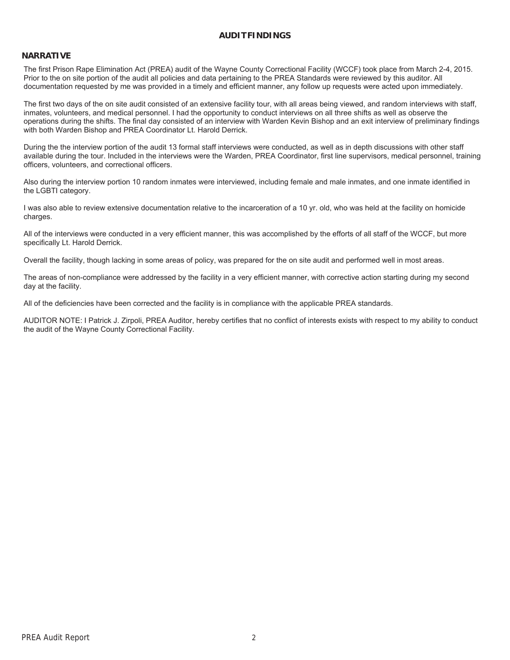## **AUDITFINDINGS**

#### **NARRATIVE**

The first Prison Rape Elimination Act (PREA) audit of the Wayne County Correctional Facility (WCCF) took place from March 2-4, 2015. Prior to the on site portion of the audit all policies and data pertaining to the PREA Standards were reviewed by this auditor. All documentation requested by me was provided in a timely and efficient manner, any follow up requests were acted upon immediately.

The first two days of the on site audit consisted of an extensive facility tour, with all areas being viewed, and random interviews with staff, inmates, volunteers, and medical personnel. I had the opportunity to conduct interviews on all three shifts as well as observe the operations during the shifts. The final day consisted of an interview with Warden Kevin Bishop and an exit interview of preliminary findings with both Warden Bishop and PREA Coordinator Lt. Harold Derrick.

During the the interview portion of the audit 13 formal staff interviews were conducted, as well as in depth discussions with other staff available during the tour. Included in the interviews were the Warden, PREA Coordinator, first line supervisors, medical personnel, training officers, volunteers, and correctional officers.

Also during the interview portion 10 random inmates were interviewed, including female and male inmates, and one inmate identified in the LGBTI category.

I was also able to review extensive documentation relative to the incarceration of a 10 yr. old, who was held at the facility on homicide charges.

All of the interviews were conducted in a very efficient manner, this was accomplished by the efforts of all staff of the WCCF, but more specifically Lt. Harold Derrick.

Overall the facility, though lacking in some areas of policy, was prepared for the on site audit and performed well in most areas.

The areas of non-compliance were addressed by the facility in a very efficient manner, with corrective action starting during my second day at the facility.

All of the deficiencies have been corrected and the facility is in compliance with the applicable PREA standards.

AUDITOR NOTE: I Patrick J. Zirpoli, PREA Auditor, hereby certifies that no conflict of interests exists with respect to my ability to conduct the audit of the Wayne County Correctional Facility.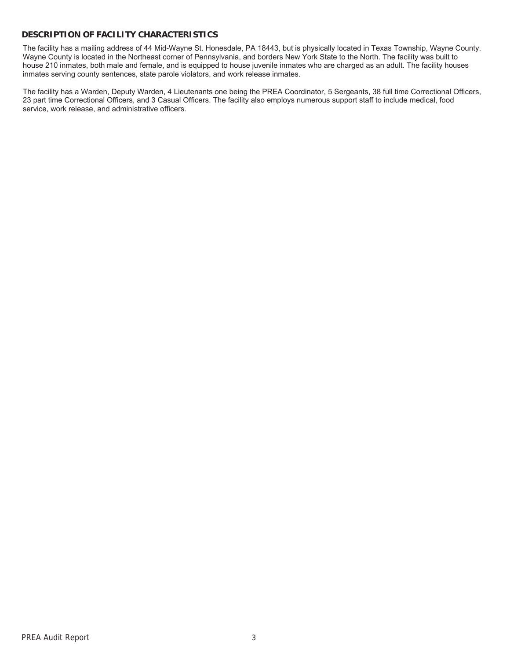# **DESCRIPTION OF FACILITY CHARACTERISTICS**

The facility has a mailing address of 44 Mid-Wayne St. Honesdale, PA 18443, but is physically located in Texas Township, Wayne County. Wayne County is located in the Northeast corner of Pennsylvania, and borders New York State to the North. The facility was built to house 210 inmates, both male and female, and is equipped to house juvenile inmates who are charged as an adult. The facility houses inmates serving county sentences, state parole violators, and work release inmates.

The facility has a Warden, Deputy Warden, 4 Lieutenants one being the PREA Coordinator, 5 Sergeants, 38 full time Correctional Officers, 23 part time Correctional Officers, and 3 Casual Officers. The facility also employs numerous support staff to include medical, food service, work release, and administrative officers.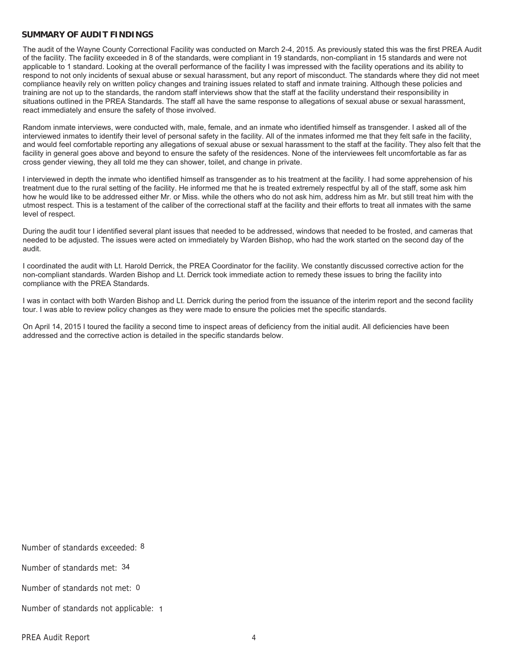### **SUMMARY OF AUDIT FINDINGS**

The audit of the Wayne County Correctional Facility was conducted on March 2-4, 2015. As previously stated this was the first PREA Audit of the facility. The facility exceeded in 8 of the standards, were compliant in 19 standards, non-compliant in 15 standards and were not applicable to 1 standard. Looking at the overall performance of the facility I was impressed with the facility operations and its ability to respond to not only incidents of sexual abuse or sexual harassment, but any report of misconduct. The standards where they did not meet compliance heavily rely on written policy changes and training issues related to staff and inmate training. Although these policies and training are not up to the standards, the random staff interviews show that the staff at the facility understand their responsibility in situations outlined in the PREA Standards. The staff all have the same response to allegations of sexual abuse or sexual harassment, react immediately and ensure the safety of those involved.

Random inmate interviews, were conducted with, male, female, and an inmate who identified himself as transgender. I asked all of the interviewed inmates to identify their level of personal safety in the facility. All of the inmates informed me that they felt safe in the facility, and would feel comfortable reporting any allegations of sexual abuse or sexual harassment to the staff at the facility. They also felt that the facility in general goes above and beyond to ensure the safety of the residences. None of the interviewees felt uncomfortable as far as cross gender viewing, they all told me they can shower, toilet, and change in private.

I interviewed in depth the inmate who identified himself as transgender as to his treatment at the facility. I had some apprehension of his treatment due to the rural setting of the facility. He informed me that he is treated extremely respectful by all of the staff, some ask him how he would like to be addressed either Mr. or Miss. while the others who do not ask him, address him as Mr. but still treat him with the utmost respect. This is a testament of the caliber of the correctional staff at the facility and their efforts to treat all inmates with the same level of respect.

During the audit tour I identified several plant issues that needed to be addressed, windows that needed to be frosted, and cameras that needed to be adjusted. The issues were acted on immediately by Warden Bishop, who had the work started on the second day of the audit.

I coordinated the audit with Lt. Harold Derrick, the PREA Coordinator for the facility. We constantly discussed corrective action for the non-compliant standards. Warden Bishop and Lt. Derrick took immediate action to remedy these issues to bring the facility into compliance with the PREA Standards.

I was in contact with both Warden Bishop and Lt. Derrick during the period from the issuance of the interim report and the second facility tour. I was able to review policy changes as they were made to ensure the policies met the specific standards.

On April 14, 2015 I toured the facility a second time to inspect areas of deficiency from the initial audit. All deficiencies have been addressed and the corrective action is detailed in the specific standards below.

Number of standards exceeded: 8

Number of standards met: 34

Number of standards not met: 0

Number of standards not applicable: 1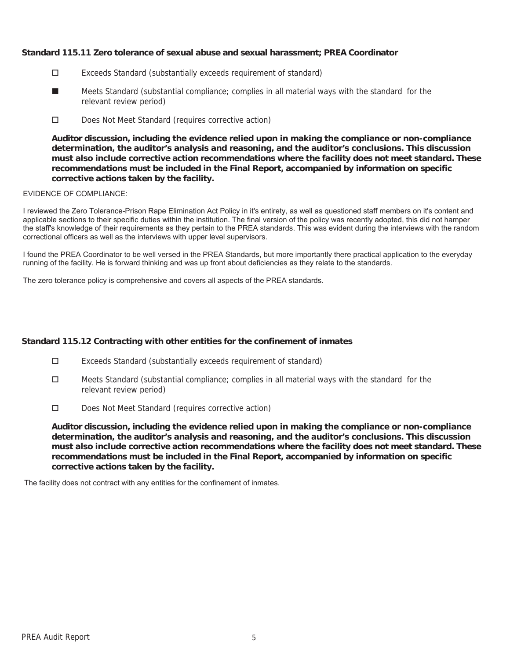# **Standard 115.11 Zero tolerance of sexual abuse and sexual harassment; PREA Coordinator**

- Exceeds Standard (substantially exceeds requirement of standard)
- Meets Standard (substantial compliance; complies in all material ways with the standard for the relevant review period) ■
- Does Not Meet Standard (requires corrective action)

**Auditor discussion, including the evidence relied upon in making the compliance or non-compliance determination, the auditor's analysis and reasoning, and the auditor's conclusions. This discussion must also include corrective action recommendations where the facility does not meet standard. These recommendations must be included in the Final Report, accompanied by information on specific corrective actions taken by the facility.**

### EVIDENCE OF COMPLIANCE:

I reviewed the Zero Tolerance-Prison Rape Elimination Act Policy in it's entirety, as well as questioned staff members on it's content and applicable sections to their specific duties within the institution. The final version of the policy was recently adopted, this did not hamper the staff's knowledge of their requirements as they pertain to the PREA standards. This was evident during the interviews with the random correctional officers as well as the interviews with upper level supervisors.

I found the PREA Coordinator to be well versed in the PREA Standards, but more importantly there practical application to the everyday running of the facility. He is forward thinking and was up front about deficiencies as they relate to the standards.

The zero tolerance policy is comprehensive and covers all aspects of the PREA standards.

### **Standard 115.12 Contracting with other entities for the confinement of inmates**

- Exceeds Standard (substantially exceeds requirement of standard)
- $\Box$  Meets Standard (substantial compliance; complies in all material ways with the standard for the relevant review period)
- Does Not Meet Standard (requires corrective action)

**Auditor discussion, including the evidence relied upon in making the compliance or non-compliance determination, the auditor's analysis and reasoning, and the auditor's conclusions. This discussion must also include corrective action recommendations where the facility does not meet standard. These recommendations must be included in the Final Report, accompanied by information on specific corrective actions taken by the facility.**

The facility does not contract with any entities for the confinement of inmates.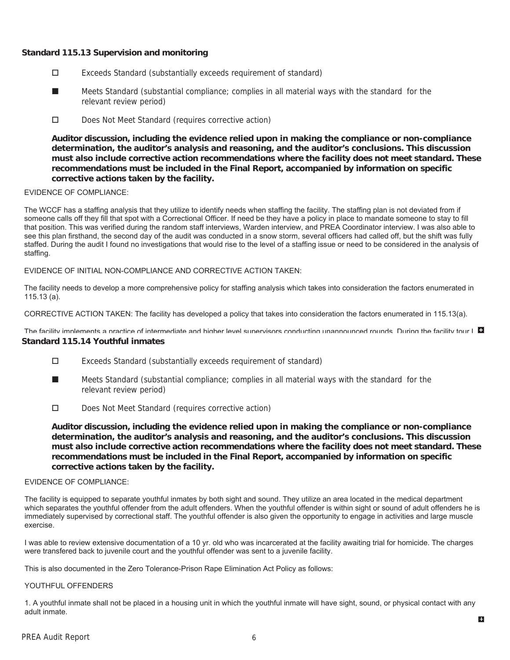# **Standard 115.13 Supervision and monitoring**

- Exceeds Standard (substantially exceeds requirement of standard)
- Meets Standard (substantial compliance; complies in all material ways with the standard for the relevant review period) ■
- Does Not Meet Standard (requires corrective action)

**Auditor discussion, including the evidence relied upon in making the compliance or non-compliance determination, the auditor's analysis and reasoning, and the auditor's conclusions. This discussion must also include corrective action recommendations where the facility does not meet standard. These recommendations must be included in the Final Report, accompanied by information on specific corrective actions taken by the facility.**

#### EVIDENCE OF COMPLIANCE:

The WCCF has a staffing analysis that they utilize to identify needs when staffing the facility. The staffing plan is not deviated from if someone calls off they fill that spot with a Correctional Officer. If need be they have a policy in place to mandate someone to stay to fill that position. This was verified during the random staff interviews, Warden interview, and PREA Coordinator interview. I was also able to see this plan firsthand, the second day of the audit was conducted in a snow storm, several officers had called off, but the shift was fully staffed. During the audit I found no investigations that would rise to the level of a staffing issue or need to be considered in the analysis of staffing.

#### EVIDENCE OF INITIAL NON-COMPLIANCE AND CORRECTIVE ACTION TAKEN:

The facility needs to develop a more comprehensive policy for staffing analysis which takes into consideration the factors enumerated in 115.13 (a).

CORRECTIVE ACTION TAKEN: The facility has developed a policy that takes into consideration the factors enumerated in 115.13(a).

**Standard 115.14 Youthful inmates** The facility implements a practice of intermediate and higher level supervisors conducting unannounced rounds. During the facility tour  $\Box$ 

- Exceeds Standard (substantially exceeds requirement of standard)
- Meets Standard (substantial compliance; complies in all material ways with the standard for the relevant review period) ■
- Does Not Meet Standard (requires corrective action)

**Auditor discussion, including the evidence relied upon in making the compliance or non-compliance determination, the auditor's analysis and reasoning, and the auditor's conclusions. This discussion must also include corrective action recommendations where the facility does not meet standard. These recommendations must be included in the Final Report, accompanied by information on specific corrective actions taken by the facility.**

#### EVIDENCE OF COMPLIANCE:

The facility is equipped to separate youthful inmates by both sight and sound. They utilize an area located in the medical department which separates the youthful offender from the adult offenders. When the youthful offender is within sight or sound of adult offenders he is immediately supervised by correctional staff. The youthful offender is also given the opportunity to engage in activities and large muscle exercise.

I was able to review extensive documentation of a 10 yr. old who was incarcerated at the facility awaiting trial for homicide. The charges were transfered back to juvenile court and the youthful offender was sent to a juvenile facility.

This is also documented in the Zero Tolerance-Prison Rape Elimination Act Policy as follows:

#### YOUTHFUL OFFENDERS

1. A youthful inmate shall not be placed in a housing unit in which the youthful inmate will have sight, sound, or physical contact with any adult inmate.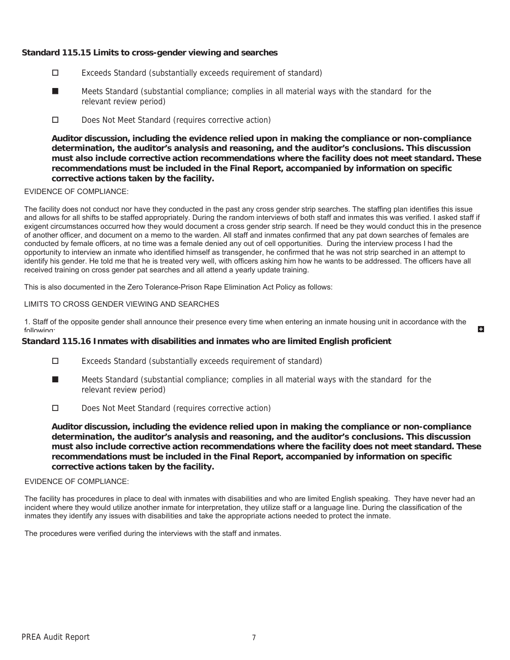# **Standard 115.15 Limits to cross-gender viewing and searches**

- Exceeds Standard (substantially exceeds requirement of standard)
- Meets Standard (substantial compliance; complies in all material ways with the standard for the relevant review period) ■
- Does Not Meet Standard (requires corrective action)

**Auditor discussion, including the evidence relied upon in making the compliance or non-compliance determination, the auditor's analysis and reasoning, and the auditor's conclusions. This discussion must also include corrective action recommendations where the facility does not meet standard. These recommendations must be included in the Final Report, accompanied by information on specific corrective actions taken by the facility.**

#### EVIDENCE OF COMPLIANCE:

The facility does not conduct nor have they conducted in the past any cross gender strip searches. The staffing plan identifies this issue and allows for all shifts to be staffed appropriately. During the random interviews of both staff and inmates this was verified. I asked staff if exigent circumstances occurred how they would document a cross gender strip search. If need be they would conduct this in the presence of another officer, and document on a memo to the warden. All staff and inmates confirmed that any pat down searches of females are conducted by female officers, at no time was a female denied any out of cell opportunities. During the interview process I had the opportunity to interview an inmate who identified himself as transgender, he confirmed that he was not strip searched in an attempt to identify his gender. He told me that he is treated very well, with officers asking him how he wants to be addressed. The officers have all received training on cross gender pat searches and all attend a yearly update training.

This is also documented in the Zero Tolerance-Prison Rape Elimination Act Policy as follows:

### LIMITS TO CROSS GENDER VIEWING AND SEARCHES

1. Staff of the opposite gender shall announce their presence every time when entering an inmate housing unit in accordance with the following:

 $\blacksquare$ 

## **Standard 115.16 Inmates with disabilities and inmates who are limited English proficient**

- Exceeds Standard (substantially exceeds requirement of standard)
- Meets Standard (substantial compliance; complies in all material ways with the standard for the relevant review period) ■
- Does Not Meet Standard (requires corrective action)

**Auditor discussion, including the evidence relied upon in making the compliance or non-compliance determination, the auditor's analysis and reasoning, and the auditor's conclusions. This discussion must also include corrective action recommendations where the facility does not meet standard. These recommendations must be included in the Final Report, accompanied by information on specific corrective actions taken by the facility.**

#### EVIDENCE OF COMPLIANCE:

The facility has procedures in place to deal with inmates with disabilities and who are limited English speaking. They have never had an incident where they would utilize another inmate for interpretation, they utilize staff or a language line. During the classification of the inmates they identify any issues with disabilities and take the appropriate actions needed to protect the inmate.

The procedures were verified during the interviews with the staff and inmates.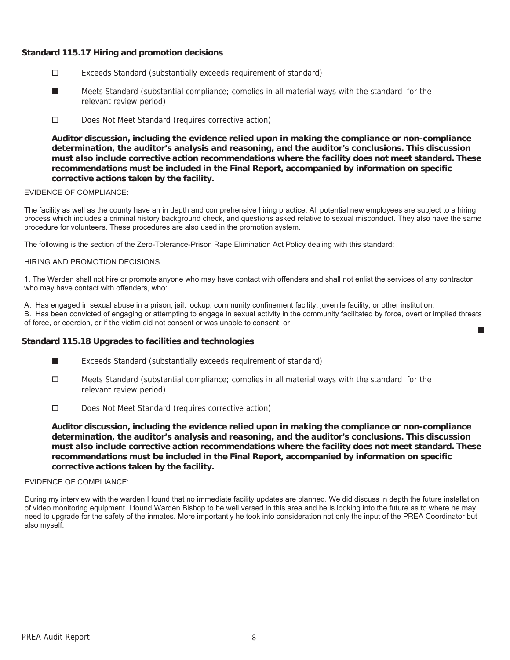# **Standard 115.17 Hiring and promotion decisions**

- Exceeds Standard (substantially exceeds requirement of standard)
- Meets Standard (substantial compliance; complies in all material ways with the standard for the relevant review period) ■
- Does Not Meet Standard (requires corrective action)

**Auditor discussion, including the evidence relied upon in making the compliance or non-compliance determination, the auditor's analysis and reasoning, and the auditor's conclusions. This discussion must also include corrective action recommendations where the facility does not meet standard. These recommendations must be included in the Final Report, accompanied by information on specific corrective actions taken by the facility.**

#### EVIDENCE OF COMPLIANCE:

The facility as well as the county have an in depth and comprehensive hiring practice. All potential new employees are subject to a hiring process which includes a criminal history background check, and questions asked relative to sexual misconduct. They also have the same procedure for volunteers. These procedures are also used in the promotion system.

The following is the section of the Zero-Tolerance-Prison Rape Elimination Act Policy dealing with this standard:

#### HIRING AND PROMOTION DECISIONS

1. The Warden shall not hire or promote anyone who may have contact with offenders and shall not enlist the services of any contractor who may have contact with offenders, who:

A. Has engaged in sexual abuse in a prison, jail, lockup, community confinement facility, juvenile facility, or other institution;

B. Has been convicted of engaging or attempting to engage in sexual activity in the community facilitated by force, overt or implied threats of force, or coercion, or if the victim did not consent or was unable to consent, or H

#### **Standard 115.18 Upgrades to facilities and technologies**

- Exceeds Standard (substantially exceeds requirement of standard) ■
- $\Box$  Meets Standard (substantial compliance; complies in all material ways with the standard for the relevant review period)
- Does Not Meet Standard (requires corrective action)

**Auditor discussion, including the evidence relied upon in making the compliance or non-compliance determination, the auditor's analysis and reasoning, and the auditor's conclusions. This discussion must also include corrective action recommendations where the facility does not meet standard. These recommendations must be included in the Final Report, accompanied by information on specific corrective actions taken by the facility.**

#### EVIDENCE OF COMPLIANCE:

During my interview with the warden I found that no immediate facility updates are planned. We did discuss in depth the future installation of video monitoring equipment. I found Warden Bishop to be well versed in this area and he is looking into the future as to where he may need to upgrade for the safety of the inmates. More importantly he took into consideration not only the input of the PREA Coordinator but also myself.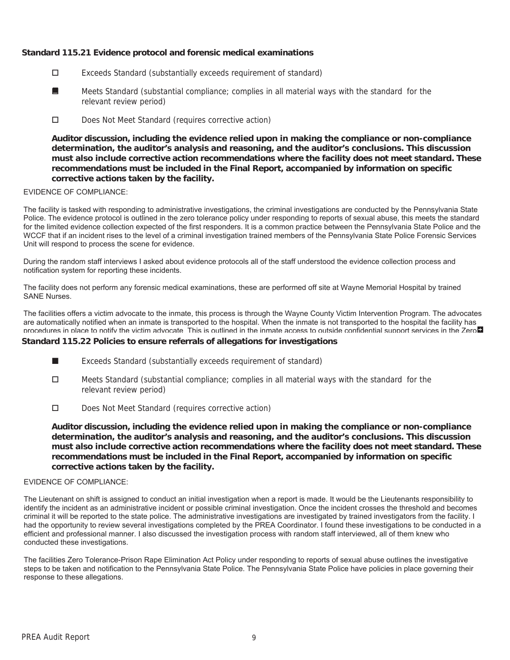# **Standard 115.21 Evidence protocol and forensic medical examinations**

- Exceeds Standard (substantially exceeds requirement of standard)
- Meets Standard (substantial compliance; complies in all material ways with the standard for the relevant review period) ■
- Does Not Meet Standard (requires corrective action)

**Auditor discussion, including the evidence relied upon in making the compliance or non-compliance determination, the auditor's analysis and reasoning, and the auditor's conclusions. This discussion must also include corrective action recommendations where the facility does not meet standard. These recommendations must be included in the Final Report, accompanied by information on specific corrective actions taken by the facility.**

### EVIDENCE OF COMPLIANCE:

The facility is tasked with responding to administrative investigations, the criminal investigations are conducted by the Pennsylvania State Police. The evidence protocol is outlined in the zero tolerance policy under responding to reports of sexual abuse, this meets the standard for the limited evidence collection expected of the first responders. It is a common practice between the Pennsylvania State Police and the WCCF that if an incident rises to the level of a criminal investigation trained members of the Pennsylvania State Police Forensic Services Unit will respond to process the scene for evidence.

During the random staff interviews I asked about evidence protocols all of the staff understood the evidence collection process and notification system for reporting these incidents.

The facility does not perform any forensic medical examinations, these are performed off site at Wayne Memorial Hospital by trained SANE Nurses.

The facilities offers a victim advocate to the inmate, this process is through the Wayne County Victim Intervention Program. The advocates are automatically notified when an inmate is transported to the hospital. When the inmate is not transported to the hospital the facility has procedures in place to notify the victim advocate. This is outlined in the inmate access to outside confidential support services in the Zero

### **Standard 115.22 Policies to ensure referrals of allegations for investigations**

- Exceeds Standard (substantially exceeds requirement of standard) ■
- □ Meets Standard (substantial compliance; complies in all material ways with the standard for the relevant review period)
- Does Not Meet Standard (requires corrective action)

**Auditor discussion, including the evidence relied upon in making the compliance or non-compliance determination, the auditor's analysis and reasoning, and the auditor's conclusions. This discussion must also include corrective action recommendations where the facility does not meet standard. These recommendations must be included in the Final Report, accompanied by information on specific corrective actions taken by the facility.**

#### EVIDENCE OF COMPLIANCE:

The Lieutenant on shift is assigned to conduct an initial investigation when a report is made. It would be the Lieutenants responsibility to identify the incident as an administrative incident or possible criminal investigation. Once the incident crosses the threshold and becomes criminal it will be reported to the state police. The administrative investigations are investigated by trained investigators from the facility. I had the opportunity to review several investigations completed by the PREA Coordinator. I found these investigations to be conducted in a efficient and professional manner. I also discussed the investigation process with random staff interviewed, all of them knew who conducted these investigations.

The facilities Zero Tolerance-Prison Rape Elimination Act Policy under responding to reports of sexual abuse outlines the investigative steps to be taken and notification to the Pennsylvania State Police. The Pennsylvania State Police have policies in place governing their response to these allegations.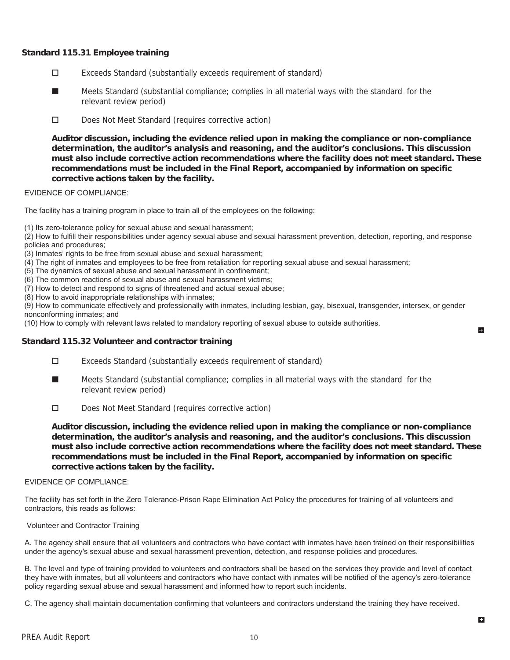# **Standard 115.31 Employee training**

- Exceeds Standard (substantially exceeds requirement of standard)
- Meets Standard (substantial compliance; complies in all material ways with the standard for the relevant review period) ■
- Does Not Meet Standard (requires corrective action)

**Auditor discussion, including the evidence relied upon in making the compliance or non-compliance determination, the auditor's analysis and reasoning, and the auditor's conclusions. This discussion must also include corrective action recommendations where the facility does not meet standard. These recommendations must be included in the Final Report, accompanied by information on specific corrective actions taken by the facility.**

### EVIDENCE OF COMPLIANCE:

The facility has a training program in place to train all of the employees on the following:

(1) Its zero-tolerance policy for sexual abuse and sexual harassment;

(2) How to fulfill their responsibilities under agency sexual abuse and sexual harassment prevention, detection, reporting, and response policies and procedures;

- (3) Inmates' rights to be free from sexual abuse and sexual harassment;
- (4) The right of inmates and employees to be free from retaliation for reporting sexual abuse and sexual harassment;
- (5) The dynamics of sexual abuse and sexual harassment in confinement;
- (6) The common reactions of sexual abuse and sexual harassment victims;
- (7) How to detect and respond to signs of threatened and actual sexual abuse;
- (8) How to avoid inappropriate relationships with inmates;

(9) How to communicate effectively and professionally with inmates, including lesbian, gay, bisexual, transgender, intersex, or gender nonconforming inmates; and

(10) How to comply with relevant laws related to mandatory reporting of sexual abuse to outside authorities.

### **Standard 115.32 Volunteer and contractor training**

- Exceeds Standard (substantially exceeds requirement of standard)
- Meets Standard (substantial compliance; complies in all material ways with the standard for the relevant review period) ■
- Does Not Meet Standard (requires corrective action)

**Auditor discussion, including the evidence relied upon in making the compliance or non-compliance determination, the auditor's analysis and reasoning, and the auditor's conclusions. This discussion must also include corrective action recommendations where the facility does not meet standard. These recommendations must be included in the Final Report, accompanied by information on specific corrective actions taken by the facility.**

#### EVIDENCE OF COMPLIANCE:

The facility has set forth in the Zero Tolerance-Prison Rape Elimination Act Policy the procedures for training of all volunteers and contractors, this reads as follows:

#### Volunteer and Contractor Training

A. The agency shall ensure that all volunteers and contractors who have contact with inmates have been trained on their responsibilities under the agency's sexual abuse and sexual harassment prevention, detection, and response policies and procedures.

B. The level and type of training provided to volunteers and contractors shall be based on the services they provide and level of contact they have with inmates, but all volunteers and contractors who have contact with inmates will be notified of the agency's zero-tolerance policy regarding sexual abuse and sexual harassment and informed how to report such incidents.

C. The agency shall maintain documentation confirming that volunteers and contractors understand the training they have received.

E.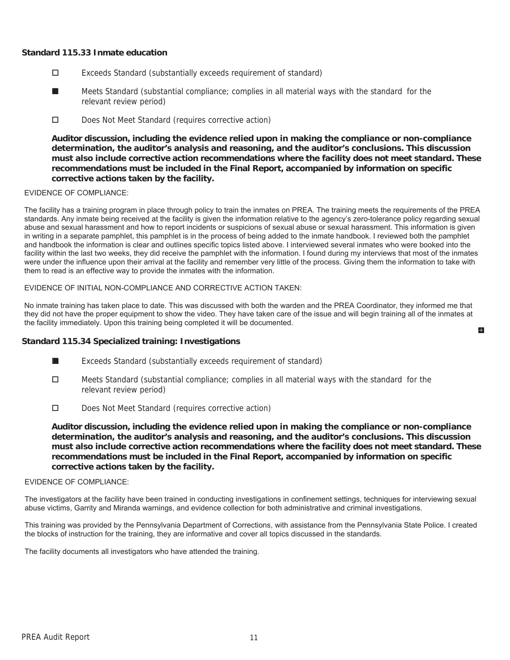### **Standard 115.33 Inmate education**

- Exceeds Standard (substantially exceeds requirement of standard)
- Meets Standard (substantial compliance; complies in all material ways with the standard for the relevant review period) ■
- D Does Not Meet Standard (requires corrective action)

**Auditor discussion, including the evidence relied upon in making the compliance or non-compliance determination, the auditor's analysis and reasoning, and the auditor's conclusions. This discussion must also include corrective action recommendations where the facility does not meet standard. These recommendations must be included in the Final Report, accompanied by information on specific corrective actions taken by the facility.**

#### EVIDENCE OF COMPLIANCE:

The facility has a training program in place through policy to train the inmates on PREA. The training meets the requirements of the PREA standards. Any inmate being received at the facility is given the information relative to the agency's zero-tolerance policy regarding sexual abuse and sexual harassment and how to report incidents or suspicions of sexual abuse or sexual harassment. This information is given in writing in a separate pamphlet, this pamphlet is in the process of being added to the inmate handbook. I reviewed both the pamphlet and handbook the information is clear and outlines specific topics listed above. I interviewed several inmates who were booked into the facility within the last two weeks, they did receive the pamphlet with the information. I found during my interviews that most of the inmates were under the influence upon their arrival at the facility and remember very little of the process. Giving them the information to take with them to read is an effective way to provide the inmates with the information.

#### EVIDENCE OF INITIAL NON-COMPLIANCE AND CORRECTIVE ACTION TAKEN:

No inmate training has taken place to date. This was discussed with both the warden and the PREA Coordinator, they informed me that they did not have the proper equipment to show the video. They have taken care of the issue and will begin training all of the inmates at the facility immediately. Upon this training being completed it will be documented.

E.

### **Standard 115.34 Specialized training: Investigations**

- Exceeds Standard (substantially exceeds requirement of standard) ■
- $\Box$  Meets Standard (substantial compliance; complies in all material ways with the standard for the relevant review period)
- Does Not Meet Standard (requires corrective action)

**Auditor discussion, including the evidence relied upon in making the compliance or non-compliance determination, the auditor's analysis and reasoning, and the auditor's conclusions. This discussion must also include corrective action recommendations where the facility does not meet standard. These recommendations must be included in the Final Report, accompanied by information on specific corrective actions taken by the facility.**

#### EVIDENCE OF COMPLIANCE:

The investigators at the facility have been trained in conducting investigations in confinement settings, techniques for interviewing sexual abuse victims, Garrity and Miranda warnings, and evidence collection for both administrative and criminal investigations.

This training was provided by the Pennsylvania Department of Corrections, with assistance from the Pennsylvania State Police. I created the blocks of instruction for the training, they are informative and cover all topics discussed in the standards.

The facility documents all investigators who have attended the training.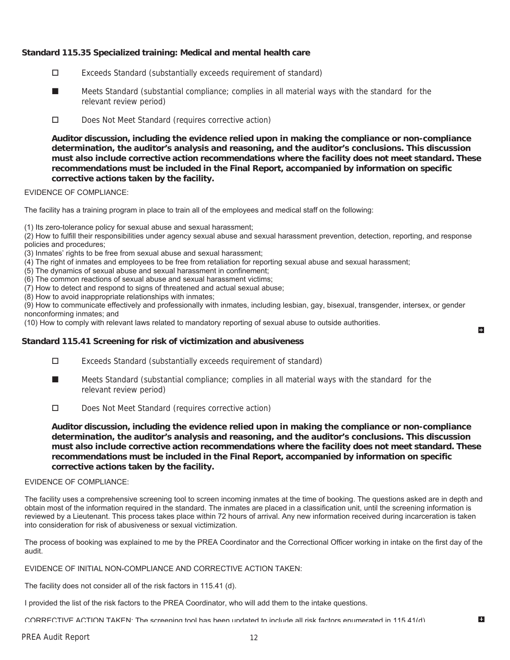# **Standard 115.35 Specialized training: Medical and mental health care**

- Exceeds Standard (substantially exceeds requirement of standard)
- Meets Standard (substantial compliance; complies in all material ways with the standard for the relevant review period) ■
- Does Not Meet Standard (requires corrective action)

**Auditor discussion, including the evidence relied upon in making the compliance or non-compliance determination, the auditor's analysis and reasoning, and the auditor's conclusions. This discussion must also include corrective action recommendations where the facility does not meet standard. These recommendations must be included in the Final Report, accompanied by information on specific corrective actions taken by the facility.**

#### EVIDENCE OF COMPLIANCE:

The facility has a training program in place to train all of the employees and medical staff on the following:

(1) Its zero-tolerance policy for sexual abuse and sexual harassment;

(2) How to fulfill their responsibilities under agency sexual abuse and sexual harassment prevention, detection, reporting, and response policies and procedures;

- (3) Inmates' rights to be free from sexual abuse and sexual harassment;
- (4) The right of inmates and employees to be free from retaliation for reporting sexual abuse and sexual harassment;
- (5) The dynamics of sexual abuse and sexual harassment in confinement;
- (6) The common reactions of sexual abuse and sexual harassment victims;

(7) How to detect and respond to signs of threatened and actual sexual abuse;

(8) How to avoid inappropriate relationships with inmates;

(9) How to communicate effectively and professionally with inmates, including lesbian, gay, bisexual, transgender, intersex, or gender nonconforming inmates; and

(10) How to comply with relevant laws related to mandatory reporting of sexual abuse to outside authorities.

### **Standard 115.41 Screening for risk of victimization and abusiveness**

- Exceeds Standard (substantially exceeds requirement of standard)
- Meets Standard (substantial compliance; complies in all material ways with the standard for the relevant review period) ■
- Does Not Meet Standard (requires corrective action)

**Auditor discussion, including the evidence relied upon in making the compliance or non-compliance determination, the auditor's analysis and reasoning, and the auditor's conclusions. This discussion must also include corrective action recommendations where the facility does not meet standard. These recommendations must be included in the Final Report, accompanied by information on specific corrective actions taken by the facility.**

H

B

#### EVIDENCE OF COMPLIANCE:

The facility uses a comprehensive screening tool to screen incoming inmates at the time of booking. The questions asked are in depth and obtain most of the information required in the standard. The inmates are placed in a classification unit, until the screening information is reviewed by a Lieutenant. This process takes place within 72 hours of arrival. Any new information received during incarceration is taken into consideration for risk of abusiveness or sexual victimization.

The process of booking was explained to me by the PREA Coordinator and the Correctional Officer working in intake on the first day of the audit.

EVIDENCE OF INITIAL NON-COMPLIANCE AND CORRECTIVE ACTION TAKEN:

The facility does not consider all of the risk factors in 115.41 (d).

I provided the list of the risk factors to the PREA Coordinator, who will add them to the intake questions.

CORRECTIVE ACTION TAKEN: The screening tool has been updated to include all risk factors enumerated in 115 41(d)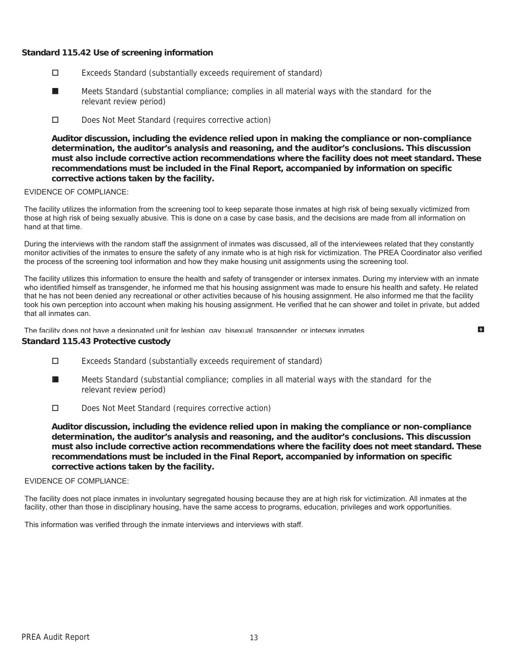# **Standard 115.42 Use of screening information**

- Exceeds Standard (substantially exceeds requirement of standard)
- Meets Standard (substantial compliance; complies in all material ways with the standard for the relevant review period) ■
- Does Not Meet Standard (requires corrective action)

**Auditor discussion, including the evidence relied upon in making the compliance or non-compliance determination, the auditor's analysis and reasoning, and the auditor's conclusions. This discussion must also include corrective action recommendations where the facility does not meet standard. These recommendations must be included in the Final Report, accompanied by information on specific corrective actions taken by the facility.**

#### EVIDENCE OF COMPLIANCE:

The facility utilizes the information from the screening tool to keep separate those inmates at high risk of being sexually victimized from those at high risk of being sexually abusive. This is done on a case by case basis, and the decisions are made from all information on hand at that time.

During the interviews with the random staff the assignment of inmates was discussed, all of the interviewees related that they constantly monitor activities of the inmates to ensure the safety of any inmate who is at high risk for victimization. The PREA Coordinator also verified the process of the screening tool information and how they make housing unit assignments using the screening tool.

The facility utilizes this information to ensure the health and safety of transgender or intersex inmates. During my interview with an inmate who identified himself as transgender, he informed me that his housing assignment was made to ensure his health and safety. He related that he has not been denied any recreational or other activities because of his housing assignment. He also informed me that the facility took his own perception into account when making his housing assignment. He verified that he can shower and toilet in private, but added that all inmates can.

 $\mathbf{H}$ 

The facility does not have a designated unit for lesbian gay bisexual transgender or intersex inmates

#### **Standard 115.43 Protective custody**

- Exceeds Standard (substantially exceeds requirement of standard)
- Meets Standard (substantial compliance; complies in all material ways with the standard for the relevant review period) ■
- Does Not Meet Standard (requires corrective action)

**Auditor discussion, including the evidence relied upon in making the compliance or non-compliance determination, the auditor's analysis and reasoning, and the auditor's conclusions. This discussion must also include corrective action recommendations where the facility does not meet standard. These recommendations must be included in the Final Report, accompanied by information on specific corrective actions taken by the facility.**

#### EVIDENCE OF COMPLIANCE:

The facility does not place inmates in involuntary segregated housing because they are at high risk for victimization. All inmates at the facility, other than those in disciplinary housing, have the same access to programs, education, privileges and work opportunities.

This information was verified through the inmate interviews and interviews with staff.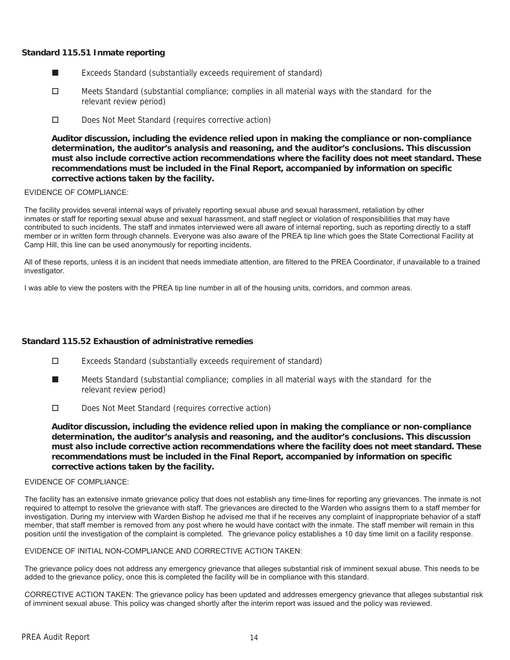## **Standard 115.51 Inmate reporting**

- Exceeds Standard (substantially exceeds requirement of standard) ■
- □ Meets Standard (substantial compliance; complies in all material ways with the standard for the relevant review period)
- Does Not Meet Standard (requires corrective action)

**Auditor discussion, including the evidence relied upon in making the compliance or non-compliance determination, the auditor's analysis and reasoning, and the auditor's conclusions. This discussion must also include corrective action recommendations where the facility does not meet standard. These recommendations must be included in the Final Report, accompanied by information on specific corrective actions taken by the facility.**

### EVIDENCE OF COMPLIANCE:

The facility provides several internal ways of privately reporting sexual abuse and sexual harassment, retaliation by other inmates or staff for reporting sexual abuse and sexual harassment, and staff neglect or violation of responsibilities that may have contributed to such incidents. The staff and inmates interviewed were all aware of internal reporting, such as reporting directly to a staff member or in written form through channels. Everyone was also aware of the PREA tip line which goes the State Correctional Facility at Camp Hill, this line can be used anonymously for reporting incidents.

All of these reports, unless it is an incident that needs immediate attention, are filtered to the PREA Coordinator, if unavailable to a trained investigator.

I was able to view the posters with the PREA tip line number in all of the housing units, corridors, and common areas.

### **Standard 115.52 Exhaustion of administrative remedies**

- Exceeds Standard (substantially exceeds requirement of standard)
- Meets Standard (substantial compliance; complies in all material ways with the standard for the relevant review period) ■
- Does Not Meet Standard (requires corrective action)

**Auditor discussion, including the evidence relied upon in making the compliance or non-compliance determination, the auditor's analysis and reasoning, and the auditor's conclusions. This discussion must also include corrective action recommendations where the facility does not meet standard. These recommendations must be included in the Final Report, accompanied by information on specific corrective actions taken by the facility.**

#### EVIDENCE OF COMPLIANCE:

The facility has an extensive inmate grievance policy that does not establish any time-lines for reporting any grievances. The inmate is not required to attempt to resolve the grievance with staff. The grievances are directed to the Warden who assigns them to a staff member for investigation. During my interview with Warden Bishop he advised me that if he receives any complaint of inappropriate behavior of a staff member, that staff member is removed from any post where he would have contact with the inmate. The staff member will remain in this position until the investigation of the complaint is completed. The grievance policy establishes a 10 day time limit on a facility response.

#### EVIDENCE OF INITIAL NON-COMPLIANCE AND CORRECTIVE ACTION TAKEN:

The grievance policy does not address any emergency grievance that alleges substantial risk of imminent sexual abuse. This needs to be added to the grievance policy, once this is completed the facility will be in compliance with this standard.

CORRECTIVE ACTION TAKEN: The grievance policy has been updated and addresses emergency grievance that alleges substantial risk of imminent sexual abuse. This policy was changed shortly after the interim report was issued and the policy was reviewed.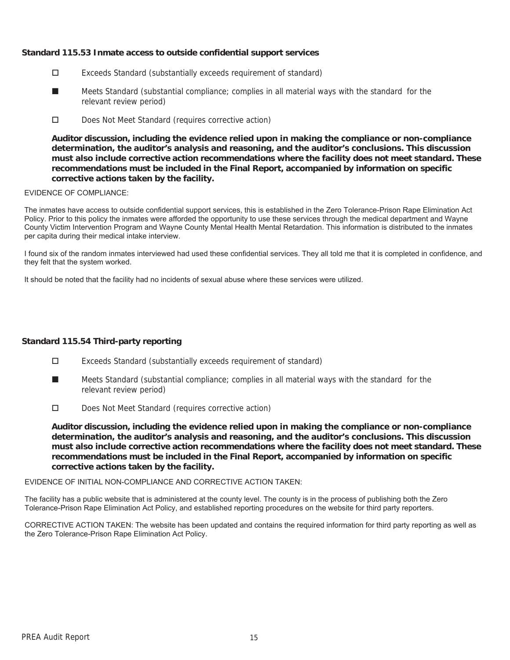# **Standard 115.53 Inmate access to outside confidential support services**

- Exceeds Standard (substantially exceeds requirement of standard)
- Meets Standard (substantial compliance; complies in all material ways with the standard for the relevant review period) ■
- Does Not Meet Standard (requires corrective action)

**Auditor discussion, including the evidence relied upon in making the compliance or non-compliance determination, the auditor's analysis and reasoning, and the auditor's conclusions. This discussion must also include corrective action recommendations where the facility does not meet standard. These recommendations must be included in the Final Report, accompanied by information on specific corrective actions taken by the facility.**

### EVIDENCE OF COMPLIANCE:

The inmates have access to outside confidential support services, this is established in the Zero Tolerance-Prison Rape Elimination Act Policy. Prior to this policy the inmates were afforded the opportunity to use these services through the medical department and Wayne County Victim Intervention Program and Wayne County Mental Health Mental Retardation. This information is distributed to the inmates per capita during their medical intake interview.

I found six of the random inmates interviewed had used these confidential services. They all told me that it is completed in confidence, and they felt that the system worked.

It should be noted that the facility had no incidents of sexual abuse where these services were utilized.

### **Standard 115.54 Third-party reporting**

- Exceeds Standard (substantially exceeds requirement of standard)
- Meets Standard (substantial compliance; complies in all material ways with the standard for the relevant review period) ■
- Does Not Meet Standard (requires corrective action)

**Auditor discussion, including the evidence relied upon in making the compliance or non-compliance determination, the auditor's analysis and reasoning, and the auditor's conclusions. This discussion must also include corrective action recommendations where the facility does not meet standard. These recommendations must be included in the Final Report, accompanied by information on specific corrective actions taken by the facility.**

### EVIDENCE OF INITIAL NON-COMPLIANCE AND CORRECTIVE ACTION TAKEN:

The facility has a public website that is administered at the county level. The county is in the process of publishing both the Zero Tolerance-Prison Rape Elimination Act Policy, and established reporting procedures on the website for third party reporters.

CORRECTIVE ACTION TAKEN: The website has been updated and contains the required information for third party reporting as well as the Zero Tolerance-Prison Rape Elimination Act Policy.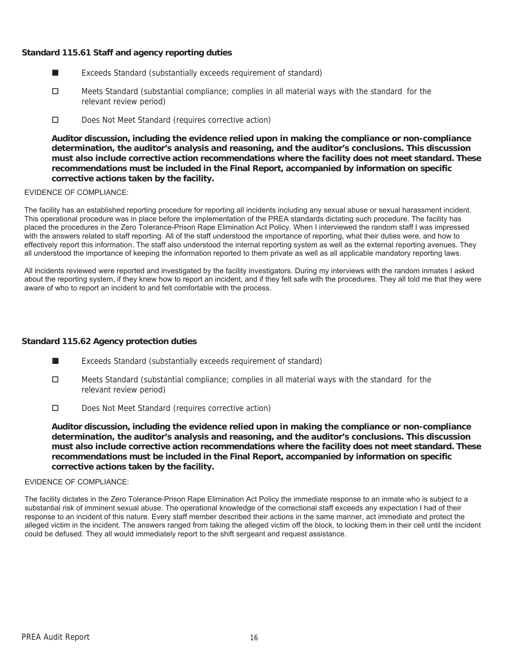# **Standard 115.61 Staff and agency reporting duties**

- Exceeds Standard (substantially exceeds requirement of standard) ■
- □ Meets Standard (substantial compliance; complies in all material ways with the standard for the relevant review period)
- Does Not Meet Standard (requires corrective action)

**Auditor discussion, including the evidence relied upon in making the compliance or non-compliance determination, the auditor's analysis and reasoning, and the auditor's conclusions. This discussion must also include corrective action recommendations where the facility does not meet standard. These recommendations must be included in the Final Report, accompanied by information on specific corrective actions taken by the facility.**

### EVIDENCE OF COMPLIANCE:

The facility has an established reporting procedure for reporting all incidents including any sexual abuse or sexual harassment incident. This operational procedure was in place before the implementation of the PREA standards dictating such procedure. The facility has placed the procedures in the Zero Tolerance-Prison Rape Elimination Act Policy. When I interviewed the random staff I was impressed with the answers related to staff reporting. All of the staff understood the importance of reporting, what their duties were, and how to effectively report this information. The staff also understood the internal reporting system as well as the external reporting avenues. They all understood the importance of keeping the information reported to them private as well as all applicable mandatory reporting laws.

All incidents reviewed were reported and investigated by the facility investigators. During my interviews with the random inmates I asked about the reporting system, if they knew how to report an incident, and if they felt safe with the procedures. They all told me that they were aware of who to report an incident to and felt comfortable with the process.

### **Standard 115.62 Agency protection duties**

- Exceeds Standard (substantially exceeds requirement of standard) ■
- $\Box$  Meets Standard (substantial compliance; complies in all material ways with the standard for the relevant review period)
- Does Not Meet Standard (requires corrective action)

**Auditor discussion, including the evidence relied upon in making the compliance or non-compliance determination, the auditor's analysis and reasoning, and the auditor's conclusions. This discussion must also include corrective action recommendations where the facility does not meet standard. These recommendations must be included in the Final Report, accompanied by information on specific corrective actions taken by the facility.**

#### EVIDENCE OF COMPLIANCE:

The facility dictates in the Zero Tolerance-Prison Rape Elimination Act Policy the immediate response to an inmate who is subject to a substantial risk of imminent sexual abuse. The operational knowledge of the correctional staff exceeds any expectation I had of their response to an incident of this nature. Every staff member described their actions in the same manner, act immediate and protect the alleged victim in the incident. The answers ranged from taking the alleged victim off the block, to locking them in their cell until the incident could be defused. They all would immediately report to the shift sergeant and request assistance.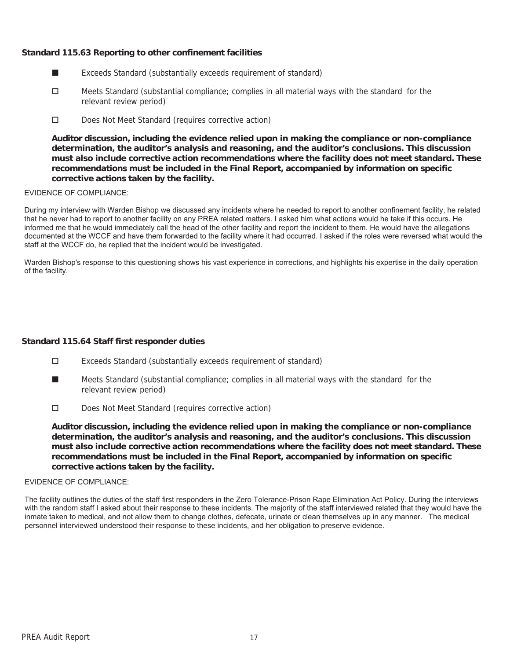# **Standard 115.63 Reporting to other confinement facilities**

- Exceeds Standard (substantially exceeds requirement of standard) ■
- □ Meets Standard (substantial compliance; complies in all material ways with the standard for the relevant review period)
- Does Not Meet Standard (requires corrective action)

**Auditor discussion, including the evidence relied upon in making the compliance or non-compliance determination, the auditor's analysis and reasoning, and the auditor's conclusions. This discussion must also include corrective action recommendations where the facility does not meet standard. These recommendations must be included in the Final Report, accompanied by information on specific corrective actions taken by the facility.**

#### EVIDENCE OF COMPLIANCE:

During my interview with Warden Bishop we discussed any incidents where he needed to report to another confinement facility, he related that he never had to report to another facility on any PREA related matters. I asked him what actions would he take if this occurs. He informed me that he would immediately call the head of the other facility and report the incident to them. He would have the allegations documented at the WCCF and have them forwarded to the facility where it had occurred. I asked if the roles were reversed what would the staff at the WCCF do, he replied that the incident would be investigated.

Warden Bishop's response to this questioning shows his vast experience in corrections, and highlights his expertise in the daily operation of the facility.

### **Standard 115.64 Staff first responder duties**

- Exceeds Standard (substantially exceeds requirement of standard)
- Meets Standard (substantial compliance; complies in all material ways with the standard for the relevant review period) ■
- Does Not Meet Standard (requires corrective action)

**Auditor discussion, including the evidence relied upon in making the compliance or non-compliance determination, the auditor's analysis and reasoning, and the auditor's conclusions. This discussion must also include corrective action recommendations where the facility does not meet standard. These recommendations must be included in the Final Report, accompanied by information on specific corrective actions taken by the facility.**

#### EVIDENCE OF COMPLIANCE:

The facility outlines the duties of the staff first responders in the Zero Tolerance-Prison Rape Elimination Act Policy. During the interviews with the random staff I asked about their response to these incidents. The majority of the staff interviewed related that they would have the inmate taken to medical, and not allow them to change clothes, defecate, urinate or clean themselves up in any manner. The medical personnel interviewed understood their response to these incidents, and her obligation to preserve evidence.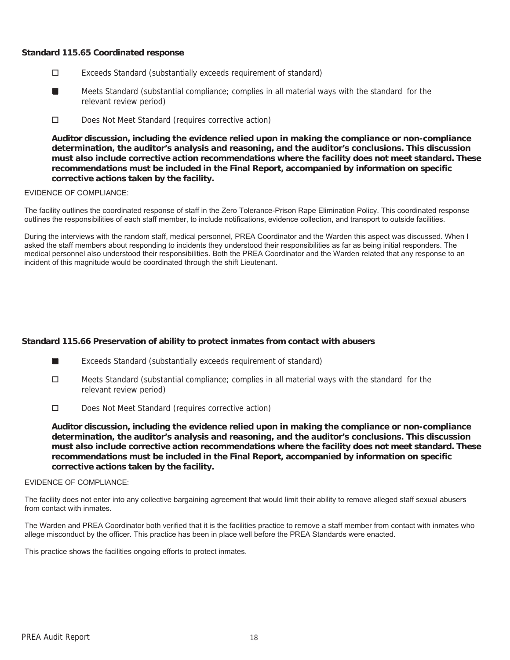## **Standard 115.65 Coordinated response**

- Exceeds Standard (substantially exceeds requirement of standard)
- Meets Standard (substantial compliance; complies in all material ways with the standard for the relevant review period) ■
- Does Not Meet Standard (requires corrective action)

**Auditor discussion, including the evidence relied upon in making the compliance or non-compliance determination, the auditor's analysis and reasoning, and the auditor's conclusions. This discussion must also include corrective action recommendations where the facility does not meet standard. These recommendations must be included in the Final Report, accompanied by information on specific corrective actions taken by the facility.**

### EVIDENCE OF COMPLIANCE:

The facility outlines the coordinated response of staff in the Zero Tolerance-Prison Rape Elimination Policy. This coordinated response outlines the responsibilities of each staff member, to include notifications, evidence collection, and transport to outside facilities.

During the interviews with the random staff, medical personnel, PREA Coordinator and the Warden this aspect was discussed. When I asked the staff members about responding to incidents they understood their responsibilities as far as being initial responders. The medical personnel also understood their responsibilities. Both the PREA Coordinator and the Warden related that any response to an incident of this magnitude would be coordinated through the shift Lieutenant.

# **Standard 115.66 Preservation of ability to protect inmates from contact with abusers**

- Exceeds Standard (substantially exceeds requirement of standard) ■
- $\Box$  Meets Standard (substantial compliance; complies in all material ways with the standard for the relevant review period)
- Does Not Meet Standard (requires corrective action)

**Auditor discussion, including the evidence relied upon in making the compliance or non-compliance determination, the auditor's analysis and reasoning, and the auditor's conclusions. This discussion must also include corrective action recommendations where the facility does not meet standard. These recommendations must be included in the Final Report, accompanied by information on specific corrective actions taken by the facility.**

#### EVIDENCE OF COMPLIANCE:

The facility does not enter into any collective bargaining agreement that would limit their ability to remove alleged staff sexual abusers from contact with inmates.

The Warden and PREA Coordinator both verified that it is the facilities practice to remove a staff member from contact with inmates who allege misconduct by the officer. This practice has been in place well before the PREA Standards were enacted.

This practice shows the facilities ongoing efforts to protect inmates.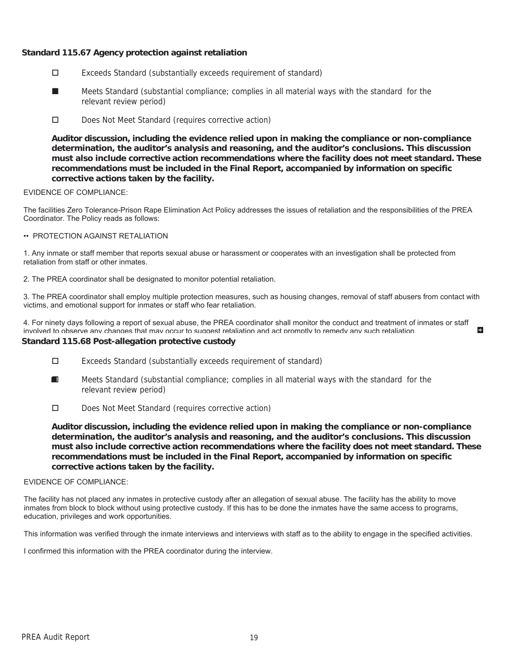# **Standard 115.67 Agency protection against retaliation**

- Exceeds Standard (substantially exceeds requirement of standard)
- Meets Standard (substantial compliance; complies in all material ways with the standard for the relevant review period) ■
- Does Not Meet Standard (requires corrective action)

**Auditor discussion, including the evidence relied upon in making the compliance or non-compliance determination, the auditor's analysis and reasoning, and the auditor's conclusions. This discussion must also include corrective action recommendations where the facility does not meet standard. These recommendations must be included in the Final Report, accompanied by information on specific corrective actions taken by the facility.**

### EVIDENCE OF COMPLIANCE:

The facilities Zero Tolerance-Prison Rape Elimination Act Policy addresses the issues of retaliation and the responsibilities of the PREA Coordinator. The Policy reads as follows:

#### •• PROTECTION AGAINST RETALIATION

1. Any inmate or staff member that reports sexual abuse or harassment or cooperates with an investigation shall be protected from retaliation from staff or other inmates.

2. The PREA coordinator shall be designated to monitor potential retaliation.

3. The PREA coordinator shall employ multiple protection measures, such as housing changes, removal of staff abusers from contact with victims, and emotional support for inmates or staff who fear retaliation.

4. For ninety days following a report of sexual abuse, the PREA coordinator shall monitor the conduct and treatment of inmates or staff involved to observe any changes that may occur to suggest retaliation and act promptly to remedy any such retaliation

E.

# **Standard 115.68 Post-allegation protective custody**

- Exceeds Standard (substantially exceeds requirement of standard)
- Meets Standard (substantial compliance; complies in all material ways with the standard for the relevant review period) ■
- Does Not Meet Standard (requires corrective action)

**Auditor discussion, including the evidence relied upon in making the compliance or non-compliance determination, the auditor's analysis and reasoning, and the auditor's conclusions. This discussion must also include corrective action recommendations where the facility does not meet standard. These recommendations must be included in the Final Report, accompanied by information on specific corrective actions taken by the facility.**

#### EVIDENCE OF COMPLIANCE:

The facility has not placed any inmates in protective custody after an allegation of sexual abuse. The facility has the ability to move inmates from block to block without using protective custody. If this has to be done the inmates have the same access to programs, education, privileges and work opportunities.

This information was verified through the inmate interviews and interviews with staff as to the ability to engage in the specified activities.

I confirmed this information with the PREA coordinator during the interview.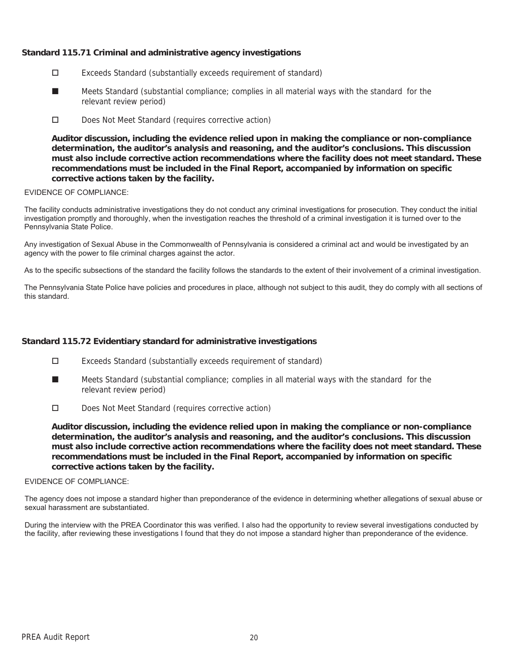# **Standard 115.71 Criminal and administrative agency investigations**

- Exceeds Standard (substantially exceeds requirement of standard)
- Meets Standard (substantial compliance; complies in all material ways with the standard for the relevant review period) ■
- Does Not Meet Standard (requires corrective action)

**Auditor discussion, including the evidence relied upon in making the compliance or non-compliance determination, the auditor's analysis and reasoning, and the auditor's conclusions. This discussion must also include corrective action recommendations where the facility does not meet standard. These recommendations must be included in the Final Report, accompanied by information on specific corrective actions taken by the facility.**

### EVIDENCE OF COMPLIANCE:

The facility conducts administrative investigations they do not conduct any criminal investigations for prosecution. They conduct the initial investigation promptly and thoroughly, when the investigation reaches the threshold of a criminal investigation it is turned over to the Pennsylvania State Police.

Any investigation of Sexual Abuse in the Commonwealth of Pennsylvania is considered a criminal act and would be investigated by an agency with the power to file criminal charges against the actor.

As to the specific subsections of the standard the facility follows the standards to the extent of their involvement of a criminal investigation.

The Pennsylvania State Police have policies and procedures in place, although not subject to this audit, they do comply with all sections of this standard.

# **Standard 115.72 Evidentiary standard for administrative investigations**

- Exceeds Standard (substantially exceeds requirement of standard)
- Meets Standard (substantial compliance; complies in all material ways with the standard for the relevant review period) ■
- Does Not Meet Standard (requires corrective action)

**Auditor discussion, including the evidence relied upon in making the compliance or non-compliance determination, the auditor's analysis and reasoning, and the auditor's conclusions. This discussion must also include corrective action recommendations where the facility does not meet standard. These recommendations must be included in the Final Report, accompanied by information on specific corrective actions taken by the facility.**

#### EVIDENCE OF COMPLIANCE:

The agency does not impose a standard higher than preponderance of the evidence in determining whether allegations of sexual abuse or sexual harassment are substantiated.

During the interview with the PREA Coordinator this was verified. I also had the opportunity to review several investigations conducted by the facility, after reviewing these investigations I found that they do not impose a standard higher than preponderance of the evidence.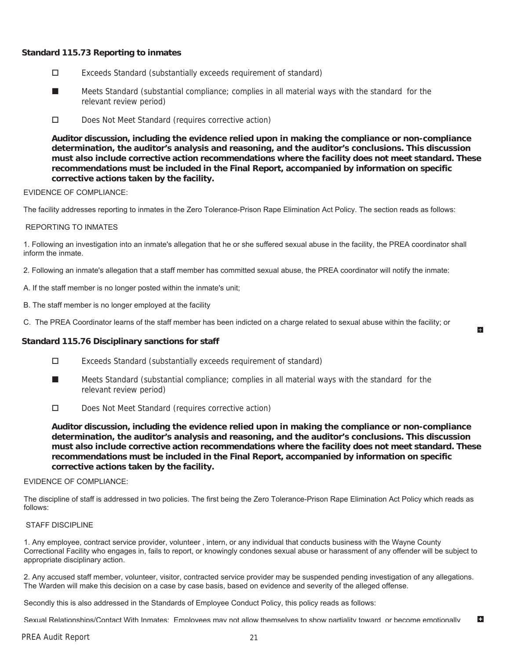# **Standard 115.73 Reporting to inmates**

- Exceeds Standard (substantially exceeds requirement of standard)
- Meets Standard (substantial compliance; complies in all material ways with the standard for the relevant review period) ■
- D Does Not Meet Standard (requires corrective action)

**Auditor discussion, including the evidence relied upon in making the compliance or non-compliance determination, the auditor's analysis and reasoning, and the auditor's conclusions. This discussion must also include corrective action recommendations where the facility does not meet standard. These recommendations must be included in the Final Report, accompanied by information on specific corrective actions taken by the facility.**

#### EVIDENCE OF COMPLIANCE:

The facility addresses reporting to inmates in the Zero Tolerance-Prison Rape Elimination Act Policy. The section reads as follows:

#### REPORTING TO INMATES

1. Following an investigation into an inmate's allegation that he or she suffered sexual abuse in the facility, the PREA coordinator shall inform the inmate.

2. Following an inmate's allegation that a staff member has committed sexual abuse, the PREA coordinator will notify the inmate:

- A. If the staff member is no longer posted within the inmate's unit;
- B. The staff member is no longer employed at the facility
- C. The PREA Coordinator learns of the staff member has been indicted on a charge related to sexual abuse within the facility; or

### **Standard 115.76 Disciplinary sanctions for staff**

- Exceeds Standard (substantially exceeds requirement of standard)
- Meets Standard (substantial compliance; complies in all material ways with the standard for the relevant review period) ■
- Does Not Meet Standard (requires corrective action)

**Auditor discussion, including the evidence relied upon in making the compliance or non-compliance determination, the auditor's analysis and reasoning, and the auditor's conclusions. This discussion must also include corrective action recommendations where the facility does not meet standard. These recommendations must be included in the Final Report, accompanied by information on specific corrective actions taken by the facility.**

Lъ.

#### EVIDENCE OF COMPLIANCE:

The discipline of staff is addressed in two policies. The first being the Zero Tolerance-Prison Rape Elimination Act Policy which reads as follows:

#### STAFF DISCIPLINE

1. Any employee, contract service provider, volunteer , intern, or any individual that conducts business with the Wayne County Correctional Facility who engages in, fails to report, or knowingly condones sexual abuse or harassment of any offender will be subject to appropriate disciplinary action.

2. Any accused staff member, volunteer, visitor, contracted service provider may be suspended pending investigation of any allegations. The Warden will make this decision on a case by case basis, based on evidence and severity of the alleged offense.

Secondly this is also addressed in the Standards of Employee Conduct Policy, this policy reads as follows:

E. Sexual Relationships/Contact With Inmates: Employees may not allow themselves to show partiality toward or become emotionally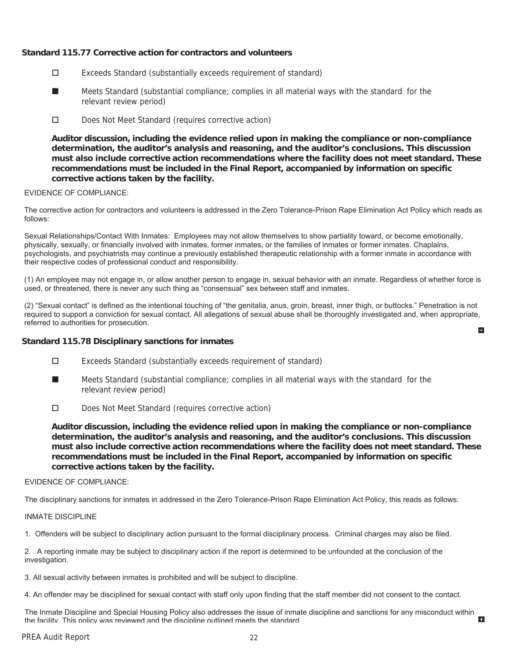# **Standard 115.77 Corrective action for contractors and volunteers**

- Exceeds Standard (substantially exceeds requirement of standard)
- Meets Standard (substantial compliance; complies in all material ways with the standard for the relevant review period) ■
- D Does Not Meet Standard (requires corrective action)

**Auditor discussion, including the evidence relied upon in making the compliance or non-compliance determination, the auditor's analysis and reasoning, and the auditor's conclusions. This discussion must also include corrective action recommendations where the facility does not meet standard. These recommendations must be included in the Final Report, accompanied by information on specific corrective actions taken by the facility.**

#### EVIDENCE OF COMPLIANCE:

The corrective action for contractors and volunteers is addressed in the Zero Tolerance-Prison Rape Elimination Act Policy which reads as follows:

Sexual Relationships/Contact With Inmates: Employees may not allow themselves to show partiality toward, or become emotionally, physically, sexually, or financially involved with inmates, former inmates, or the families of inmates or former inmates. Chaplains, psychologists, and psychiatrists may continue a previously established therapeutic relationship with a former inmate in accordance with their respective codes of professional conduct and responsibility.

(1) An employee may not engage in, or allow another person to engage in, sexual behavior with an inmate. Regardless of whether force is used, or threatened, there is never any such thing as "consensual" sex between staff and inmates.

(2) "Sexual contact" is defined as the intentional touching of "the genitalia, anus, groin, breast, inner thigh, or buttocks." Penetration is not required to support a conviction for sexual contact. All allegations of sexual abuse shall be thoroughly investigated and, when appropriate, referred to authorities for prosecution.  $\mathbf{H}$ 

### **Standard 115.78 Disciplinary sanctions for inmates**

- Exceeds Standard (substantially exceeds requirement of standard)
- Meets Standard (substantial compliance; complies in all material ways with the standard for the relevant review period) ■
- Does Not Meet Standard (requires corrective action)

**Auditor discussion, including the evidence relied upon in making the compliance or non-compliance determination, the auditor's analysis and reasoning, and the auditor's conclusions. This discussion must also include corrective action recommendations where the facility does not meet standard. These recommendations must be included in the Final Report, accompanied by information on specific corrective actions taken by the facility.**

#### EVIDENCE OF COMPLIANCE:

The disciplinary sanctions for inmates in addressed in the Zero Tolerance-Prison Rape Elimination Act Policy, this reads as follows:

#### INMATE DISCIPLINE

1. Offenders will be subject to disciplinary action pursuant to the formal disciplinary process. Criminal charges may also be filed.

2. A reporting inmate may be subject to disciplinary action if the report is determined to be unfounded at the conclusion of the investigation.

3. All sexual activity between inmates is prohibited and will be subject to discipline.

4. An offender may be disciplined for sexual contact with staff only upon finding that the staff member did not consent to the contact.

The Inmate Discipline and Special Housing Policy also addresses the issue of inmate discipline and sanctions for any misconduct within ES. the facility This policy was reviewed and the discipline outlined meets the standard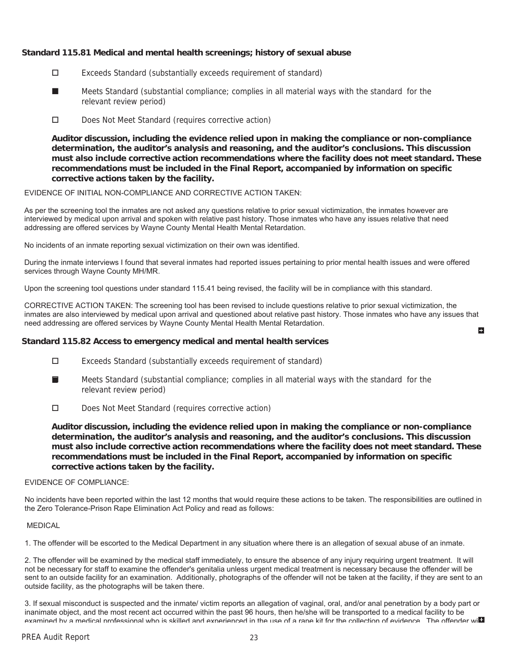# **Standard 115.81 Medical and mental health screenings; history of sexual abuse**

- Exceeds Standard (substantially exceeds requirement of standard)
- Meets Standard (substantial compliance; complies in all material ways with the standard for the relevant review period) ■
- D Does Not Meet Standard (requires corrective action)

**Auditor discussion, including the evidence relied upon in making the compliance or non-compliance determination, the auditor's analysis and reasoning, and the auditor's conclusions. This discussion must also include corrective action recommendations where the facility does not meet standard. These recommendations must be included in the Final Report, accompanied by information on specific corrective actions taken by the facility.**

#### EVIDENCE OF INITIAL NON-COMPLIANCE AND CORRECTIVE ACTION TAKEN:

As per the screening tool the inmates are not asked any questions relative to prior sexual victimization, the inmates however are interviewed by medical upon arrival and spoken with relative past history. Those inmates who have any issues relative that need addressing are offered services by Wayne County Mental Health Mental Retardation.

No incidents of an inmate reporting sexual victimization on their own was identified.

During the inmate interviews I found that several inmates had reported issues pertaining to prior mental health issues and were offered services through Wayne County MH/MR.

Upon the screening tool questions under standard 115.41 being revised, the facility will be in compliance with this standard.

CORRECTIVE ACTION TAKEN: The screening tool has been revised to include questions relative to prior sexual victimization, the inmates are also interviewed by medical upon arrival and questioned about relative past history. Those inmates who have any issues that need addressing are offered services by Wayne County Mental Health Mental Retardation. H.

### **Standard 115.82 Access to emergency medical and mental health services**

- Exceeds Standard (substantially exceeds requirement of standard)
- Meets Standard (substantial compliance; complies in all material ways with the standard for the relevant review period) ■
- Does Not Meet Standard (requires corrective action)

**Auditor discussion, including the evidence relied upon in making the compliance or non-compliance determination, the auditor's analysis and reasoning, and the auditor's conclusions. This discussion must also include corrective action recommendations where the facility does not meet standard. These recommendations must be included in the Final Report, accompanied by information on specific corrective actions taken by the facility.**

#### EVIDENCE OF COMPLIANCE:

No incidents have been reported within the last 12 months that would require these actions to be taken. The responsibilities are outlined in the Zero Tolerance-Prison Rape Elimination Act Policy and read as follows:

#### MEDICAL

1. The offender will be escorted to the Medical Department in any situation where there is an allegation of sexual abuse of an inmate.

2. The offender will be examined by the medical staff immediately, to ensure the absence of any injury requiring urgent treatment. It will not be necessary for staff to examine the offender's genitalia unless urgent medical treatment is necessary because the offender will be sent to an outside facility for an examination. Additionally, photographs of the offender will not be taken at the facility, if they are sent to an outside facility, as the photographs will be taken there.

3. If sexual misconduct is suspected and the inmate/ victim reports an allegation of vaginal, oral, and/or anal penetration by a body part or inanimate object, and the most recent act occurred within the past 96 hours, then he/she will be transported to a medical facility to be examined by a medical professional who is skilled and experienced in the use of a rape kit for the collection of evidence. The offender will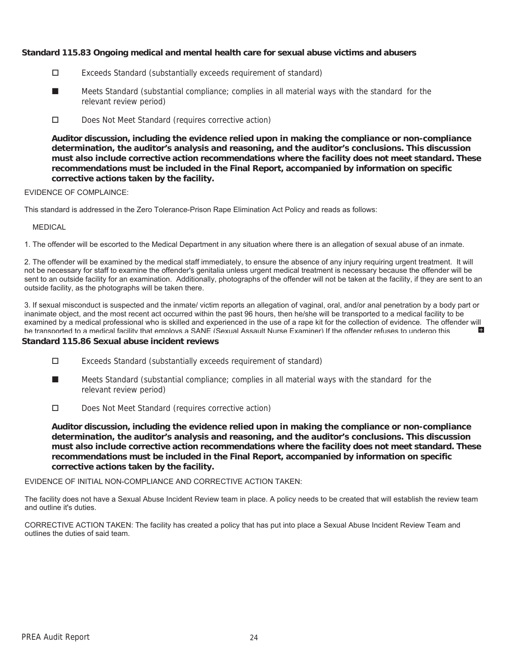# **Standard 115.83 Ongoing medical and mental health care for sexual abuse victims and abusers**

- Exceeds Standard (substantially exceeds requirement of standard)
- Meets Standard (substantial compliance; complies in all material ways with the standard for the relevant review period) ■
- Does Not Meet Standard (requires corrective action)

**Auditor discussion, including the evidence relied upon in making the compliance or non-compliance determination, the auditor's analysis and reasoning, and the auditor's conclusions. This discussion must also include corrective action recommendations where the facility does not meet standard. These recommendations must be included in the Final Report, accompanied by information on specific corrective actions taken by the facility.**

### EVIDENCE OF COMPLAINCE:

This standard is addressed in the Zero Tolerance-Prison Rape Elimination Act Policy and reads as follows:

#### MEDICAL

1. The offender will be escorted to the Medical Department in any situation where there is an allegation of sexual abuse of an inmate.

2. The offender will be examined by the medical staff immediately, to ensure the absence of any injury requiring urgent treatment. It will not be necessary for staff to examine the offender's genitalia unless urgent medical treatment is necessary because the offender will be sent to an outside facility for an examination. Additionally, photographs of the offender will not be taken at the facility, if they are sent to an outside facility, as the photographs will be taken there.

3. If sexual misconduct is suspected and the inmate/ victim reports an allegation of vaginal, oral, and/or anal penetration by a body part or inanimate object, and the most recent act occurred within the past 96 hours, then he/she will be transported to a medical facility to be examined by a medical professional who is skilled and experienced in the use of a rape kit for the collection of evidence. The offender will<br>be transported to a medical facility that employs a SANE (Sexual Assault Nurse Ex be transported to a medical facility that employs a SANE (Sexual Assault Nurse Examiner) If the offender refuses to undergo this

### **Standard 115.86 Sexual abuse incident reviews**

- Exceeds Standard (substantially exceeds requirement of standard)
- Meets Standard (substantial compliance; complies in all material ways with the standard for the relevant review period) ■
- Does Not Meet Standard (requires corrective action)

**Auditor discussion, including the evidence relied upon in making the compliance or non-compliance determination, the auditor's analysis and reasoning, and the auditor's conclusions. This discussion must also include corrective action recommendations where the facility does not meet standard. These recommendations must be included in the Final Report, accompanied by information on specific corrective actions taken by the facility.**

### EVIDENCE OF INITIAL NON-COMPLIANCE AND CORRECTIVE ACTION TAKEN:

The facility does not have a Sexual Abuse Incident Review team in place. A policy needs to be created that will establish the review team and outline it's duties.

CORRECTIVE ACTION TAKEN: The facility has created a policy that has put into place a Sexual Abuse Incident Review Team and outlines the duties of said team.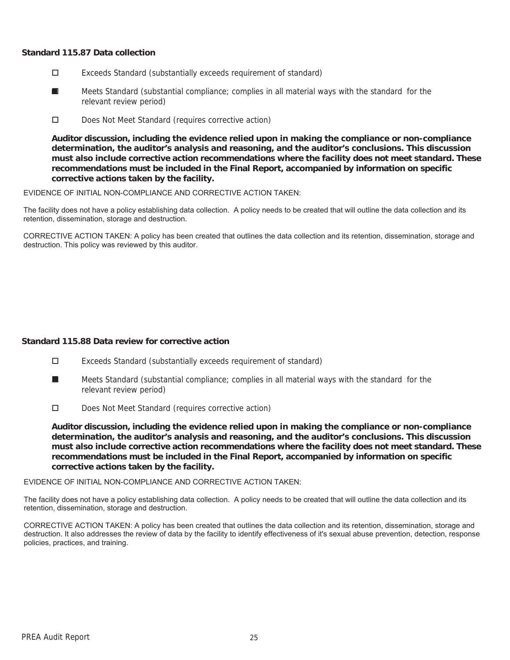## **Standard 115.87 Data collection**

- Exceeds Standard (substantially exceeds requirement of standard)
- Meets Standard (substantial compliance; complies in all material ways with the standard for the relevant review period) ■
- Does Not Meet Standard (requires corrective action)

**Auditor discussion, including the evidence relied upon in making the compliance or non-compliance determination, the auditor's analysis and reasoning, and the auditor's conclusions. This discussion must also include corrective action recommendations where the facility does not meet standard. These recommendations must be included in the Final Report, accompanied by information on specific corrective actions taken by the facility.**

EVIDENCE OF INITIAL NON-COMPLIANCE AND CORRECTIVE ACTION TAKEN:

The facility does not have a policy establishing data collection. A policy needs to be created that will outline the data collection and its retention, dissemination, storage and destruction.

CORRECTIVE ACTION TAKEN: A policy has been created that outlines the data collection and its retention, dissemination, storage and destruction. This policy was reviewed by this auditor.

# **Standard 115.88 Data review for corrective action**

- Exceeds Standard (substantially exceeds requirement of standard)
- Meets Standard (substantial compliance; complies in all material ways with the standard for the relevant review period) ■
- Does Not Meet Standard (requires corrective action)

**Auditor discussion, including the evidence relied upon in making the compliance or non-compliance determination, the auditor's analysis and reasoning, and the auditor's conclusions. This discussion must also include corrective action recommendations where the facility does not meet standard. These recommendations must be included in the Final Report, accompanied by information on specific corrective actions taken by the facility.**

#### EVIDENCE OF INITIAL NON-COMPLIANCE AND CORRECTIVE ACTION TAKEN:

The facility does not have a policy establishing data collection. A policy needs to be created that will outline the data collection and its retention, dissemination, storage and destruction.

CORRECTIVE ACTION TAKEN: A policy has been created that outlines the data collection and its retention, dissemination, storage and destruction. It also addresses the review of data by the facility to identify effectiveness of it's sexual abuse prevention, detection, response policies, practices, and training.